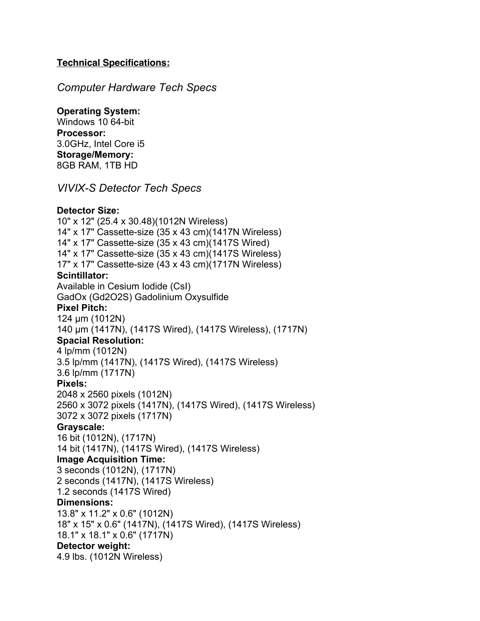## **Technical Specifications:**

## *Computer Hardware Tech Specs*

## **Operating System:**

Windows 10 64-bit **Processor:** 3.0GHz, Intel Core i5 **Storage/Memory:** 8GB RAM, 1TB HD

*VIVIX-S Detector Tech Specs*

## **Detector Size:**

10" x 12" (25.4 x 30.48)(1012N Wireless) 14" x 17" Cassette-size (35 x 43 cm)(1417N Wireless) 14" x 17" Cassette-size (35 x 43 cm)(1417S Wired) 14" x 17" Cassette-size (35 x 43 cm)(1417S Wireless) 17" x 17" Cassette-size (43 x 43 cm)(1717N Wireless) **Scintillator:** Available in Cesium Iodide (CsI) GadOx (Gd2O2S) Gadolinium Oxysulfide **Pixel Pitch:** 124 μm (1012N) 140 μm (1417N), (1417S Wired), (1417S Wireless), (1717N) **Spacial Resolution:** 4 lp/mm (1012N) 3.5 lp/mm (1417N), (1417S Wired), (1417S Wireless) 3.6 lp/mm (1717N) **Pixels:** 2048 x 2560 pixels (1012N) 2560 x 3072 pixels (1417N), (1417S Wired), (1417S Wireless) 3072 x 3072 pixels (1717N) **Grayscale:** 16 bit (1012N), (1717N) 14 bit (1417N), (1417S Wired), (1417S Wireless) **Image Acquisition Time:** 3 seconds (1012N), (1717N) 2 seconds (1417N), (1417S Wireless) 1.2 seconds (1417S Wired) **Dimensions:** 13.8" x 11.2" x 0.6" (1012N) 18" x 15" x 0.6" (1417N), (1417S Wired), (1417S Wireless) 18.1" x 18.1" x 0.6" (1717N) **Detector weight:** 4.9 lbs. (1012N Wireless)